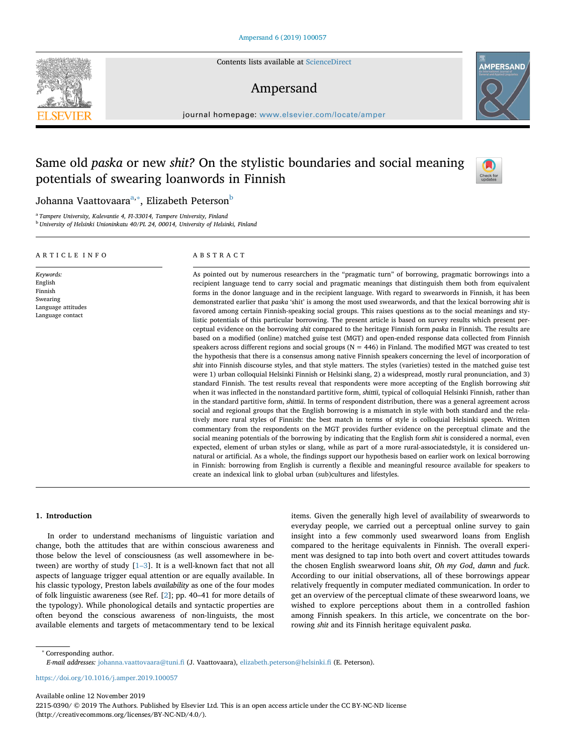Contents lists available at [ScienceDirect](http://www.sciencedirect.com/science/journal/22150390)

# Ampersand

journal homepage: [www.elsevier.com/locate/amper](https://www.elsevier.com/locate/amper)

# Same old *paska* or new *shit?* On the stylistic boundaries and social meaning potentials of swearing loanwords in Finnish

## Johanna V[aa](#page-0-0)ttovaara<sup>a,</sup>\*, Eliza[b](#page-0-2)eth Peterson<sup>b</sup>

<span id="page-0-2"></span><span id="page-0-0"></span><sup>a</sup> *Tampere University, Kalevantie 4, FI-33014, Tampere University, Finland* <sup>b</sup> *University of Helsinki Unioninkatu 40/PL 24, 00014, University of Helsinki, Finland*

ARTICLE INFO

*Keywords:* English Finnish Swearing Language attitudes Language contact

### ABSTRACT

As pointed out by numerous researchers in the "pragmatic turn" of borrowing, pragmatic borrowings into a recipient language tend to carry social and pragmatic meanings that distinguish them both from equivalent forms in the donor language and in the recipient language. With regard to swearwords in Finnish, it has been demonstrated earlier that *paska* 'shit' is among the most used swearwords, and that the lexical borrowing *shit* is favored among certain Finnish-speaking social groups. This raises questions as to the social meanings and stylistic potentials of this particular borrowing. The present article is based on survey results which present perceptual evidence on the borrowing *shit* compared to the heritage Finnish form *paska* in Finnish. The results are based on a modified (online) matched guise test (MGT) and open-ended response data collected from Finnish speakers across different regions and social groups ( $N = 446$ ) in Finland. The modified MGT was created to test the hypothesis that there is a consensus among native Finnish speakers concerning the level of incorporation of *shit* into Finnish discourse styles, and that style matters. The styles (varieties) tested in the matched guise test were 1) urban colloquial Helsinki Finnish or Helsinki slang, 2) a widespread, mostly rural pronunciation, and 3) standard Finnish. The test results reveal that respondents were more accepting of the English borrowing *shit* when it was inflected in the nonstandard partitive form, *shittii*, typical of colloquial Helsinki Finnish, rather than in the standard partitive form, *shittiä*. In terms of respondent distribution, there was a general agreement across social and regional groups that the English borrowing is a mismatch in style with both standard and the relatively more rural styles of Finnish: the best match in terms of style is colloquial Helsinki speech. Written commentary from the respondents on the MGT provides further evidence on the perceptual climate and the social meaning potentials of the borrowing by indicating that the English form *shit* is considered a normal, even expected, element of urban styles or slang, while as part of a more rural-associatedstyle, it is considered unnatural or artificial. As a whole, the findings support our hypothesis based on earlier work on lexical borrowing in Finnish: borrowing from English is currently a flexible and meaningful resource available for speakers to create an indexical link to global urban (sub)cultures and lifestyles.

#### **1. Introduction**

In order to understand mechanisms of linguistic variation and change, both the attitudes that are within conscious awareness and those below the level of consciousness (as well assomewhere in between) are worthy of study  $[1-3]$ . It is a well-known fact that not all aspects of language trigger equal attention or are equally available. In his classic typology, Preston labels *availability* as one of the four modes of folk linguistic awareness (see Ref. [[2](#page-8-1)]; pp. 40–41 for more details of the typology). While phonological details and syntactic properties are often beyond the conscious awareness of non-linguists, the most available elements and targets of metacommentary tend to be lexical items. Given the generally high level of availability of swearwords to everyday people, we carried out a perceptual online survey to gain insight into a few commonly used swearword loans from English compared to the heritage equivalents in Finnish. The overall experiment was designed to tap into both overt and covert attitudes towards the chosen English swearword loans *shit*, *Oh my God*, *damn* and *fuck*. According to our initial observations, all of these borrowings appear relatively frequently in computer mediated communication. In order to get an overview of the perceptual climate of these swearword loans, we wished to explore perceptions about them in a controlled fashion among Finnish speakers. In this article, we concentrate on the borrowing *shit* and its Finnish heritage equivalent *paska*.

<span id="page-0-1"></span><sup>∗</sup> Corresponding author.

*E-mail addresses:* [johanna.vaattovaara@tuni.fi](mailto:johanna.vaattovaara@tuni.fi) (J. Vaattovaara), [elizabeth.peterson@helsinki.fi](mailto:elizabeth.peterson@helsinki.fi) (E. Peterson).

<https://doi.org/10.1016/j.amper.2019.100057>

Available online 12 November 2019

2215-0390/ © 2019 The Authors. Published by Elsevier Ltd. This is an open access article under the CC BY-NC-ND license (http://creativecommons.org/licenses/BY-NC-ND/4.0/).





 $\frac{N}{2}$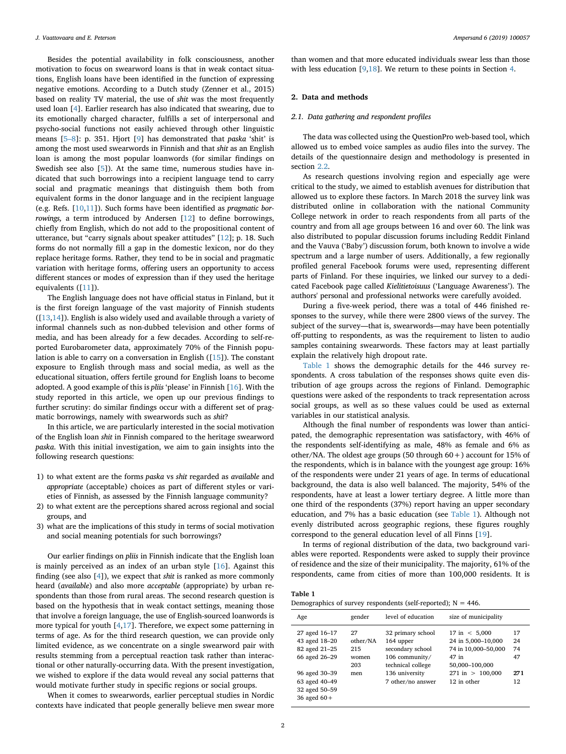Besides the potential availability in folk consciousness, another motivation to focus on swearword loans is that in weak contact situations, English loans have been identified in the function of expressing negative emotions. According to a Dutch study (Zenner et al., 2015) based on reality TV material, the use of *shit* was the most frequently used loan [\[4\]](#page-8-2). Earlier research has also indicated that swearing, due to its emotionally charged character, fulfills a set of interpersonal and psycho-social functions not easily achieved through other linguistic means [[5–8\]](#page-8-3): p. 351. Hjort [[9](#page-8-4)] has demonstrated that *paska* 'shit' is among the most used swearwords in Finnish and that *shit* as an English loan is among the most popular loanwords (for similar findings on Swedish see also [[5](#page-8-3)]). At the same time, numerous studies have indicated that such borrowings into a recipient language tend to carry social and pragmatic meanings that distinguish them both from equivalent forms in the donor language and in the recipient language (e.g. Refs. [\[10](#page-8-5)[,11](#page-8-6)]). Such forms have been identified as *pragmatic borrowings,* a term introduced by Andersen [\[12](#page-8-7)] to define borrowings, chiefly from English, which do not add to the propositional content of utterance, but "carry signals about speaker attitudes" [[12\]](#page-8-7); p. 18. Such forms do not normally fill a gap in the domestic lexicon, nor do they replace heritage forms. Rather, they tend to be in social and pragmatic variation with heritage forms, offering users an opportunity to access different stances or modes of expression than if they used the heritage equivalents ([[11\]](#page-8-6)).

The English language does not have official status in Finland, but it is the first foreign language of the vast majority of Finnish students ([[13](#page-8-8)[,14](#page-8-9)]). English is also widely used and available through a variety of informal channels such as non-dubbed television and other forms of media, and has been already for a few decades. According to self-reported Eurobarometer data, approximately 70% of the Finnish population is able to carry on a conversation in English ([[15](#page-8-10)]). The constant exposure to English through mass and social media, as well as the educational situation, offers fertile ground for English loans to become adopted. A good example of this is *pliis* 'please' in Finnish [[16\]](#page-8-11). With the study reported in this article, we open up our previous findings to further scrutiny: do similar findings occur with a different set of pragmatic borrowings, namely with swearwords such as *shit*?

In this article, we are particularly interested in the social motivation of the English loan *shit* in Finnish compared to the heritage swearword *paska*. With this initial investigation, we aim to gain insights into the following research questions:

- 1) to what extent are the forms *paska* vs *shit* regarded as *available* and *appropriate* (acceptable) choices as part of different styles or varieties of Finnish, as assessed by the Finnish language community?
- 2) to what extent are the perceptions shared across regional and social groups, and
- 3) what are the implications of this study in terms of social motivation and social meaning potentials for such borrowings?

Our earlier findings on *pliis* in Finnish indicate that the English loan is mainly perceived as an index of an urban style [[16\]](#page-8-11). Against this finding (see also [[4](#page-8-2)]), we expect that *shit* is ranked as more commonly heard (*available*) and also more *acceptable* (appropriate) by urban respondents than those from rural areas. The second research question is based on the hypothesis that in weak contact settings, meaning those that involve a foreign language, the use of English-sourced loanwords is more typical for youth [[4](#page-8-2)[,17](#page-8-12)]. Therefore, we expect some patterning in terms of age. As for the third research question, we can provide only limited evidence, as we concentrate on a single swearword pair with results stemming from a perceptual reaction task rather than interactional or other naturally-occurring data. With the present investigation, we wished to explore if the data would reveal any social patterns that would motivate further study in specific regions or social groups.

When it comes to swearwords, earlier perceptual studies in Nordic contexts have indicated that people generally believe men swear more

than women and that more educated individuals swear less than those with less education [\[9,](#page-8-4)[18\]](#page-8-13). We return to these points in Section [4](#page-5-0).

## **2. Data and methods**

#### *2.1. Data gathering and respondent profiles*

The data was collected using the QuestionPro web-based tool, which allowed us to embed voice samples as audio files into the survey. The details of the questionnaire design and methodology is presented in section [2.2](#page-2-0).

As research questions involving region and especially age were critical to the study, we aimed to establish avenues for distribution that allowed us to explore these factors. In March 2018 the survey link was distributed online in collaboration with the national Community College network in order to reach respondents from all parts of the country and from all age groups between 16 and over 60. The link was also distributed to popular discussion forums including Reddit Finland and the Vauva ('Baby') discussion forum, both known to involve a wide spectrum and a large number of users. Additionally, a few regionally profiled general Facebook forums were used, representing different parts of Finland. For these inquiries, we linked our survey to a dedicated Facebook page called *Kielitietoisuus* ('Language Awareness'). The authors' personal and professional networks were carefully avoided.

During a five-week period, there was a total of 446 finished responses to the survey, while there were 2800 views of the survey. The subject of the survey—that is, swearwords—may have been potentially off-putting to respondents, as was the requirement to listen to audio samples containing swearwords. These factors may at least partially explain the relatively high dropout rate.

[Table 1](#page-1-0) shows the demographic details for the 446 survey respondents. A cross tabulation of the responses shows quite even distribution of age groups across the regions of Finland. Demographic questions were asked of the respondents to track representation across social groups, as well as so these values could be used as external variables in our statistical analysis.

Although the final number of respondents was lower than anticipated, the demographic representation was satisfactory, with 46% of the respondents self-identifying as male, 48% as female and 6% as other/NA. The oldest age groups (50 through  $60 +$ ) account for 15% of the respondents, which is in balance with the youngest age group: 16% of the respondents were under 21 years of age. In terms of educational background, the data is also well balanced. The majority, 54% of the respondents, have at least a lower tertiary degree. A little more than one third of the respondents (37%) report having an upper secondary education, and 7% has a basic education (see [Table 1](#page-1-0)). Although not evenly distributed across geographic regions, these figures roughly correspond to the general education level of all Finns [\[19](#page-8-14)].

In terms of regional distribution of the data, two background variables were reported. Respondents were asked to supply their province of residence and the size of their municipality. The majority, 61% of the respondents, came from cities of more than 100,000 residents. It is

### <span id="page-1-0"></span>**Table 1**

| Demographics of survey respondents (self-reported); $N = 446$ . |  |  |  |
|-----------------------------------------------------------------|--|--|--|
|-----------------------------------------------------------------|--|--|--|

| Age                                                                               | gender                                       | level of education                                                                                          | size of municipality                                                                                                          |                             |
|-----------------------------------------------------------------------------------|----------------------------------------------|-------------------------------------------------------------------------------------------------------------|-------------------------------------------------------------------------------------------------------------------------------|-----------------------------|
| 27 aged 16-17<br>43 aged 18-20<br>82 aged 21-25<br>66 aged 26-29<br>96 aged 30-39 | 27<br>other/NA<br>215<br>women<br>203<br>men | 32 primary school<br>164 upper<br>secondary school<br>106 community/<br>technical college<br>136 university | $17 \text{ in} < 5,000$<br>24 in 5,000-10,000<br>74 in 10,000-50,000<br>47 in<br>50,000-100,000<br>$271 \text{ in} > 100.000$ | 17<br>24<br>74<br>47<br>271 |
| 63 aged 40-49<br>32 aged 50-59<br>36 aged $60+$                                   |                                              | 7 other/no answer                                                                                           | 12 in other                                                                                                                   | 12                          |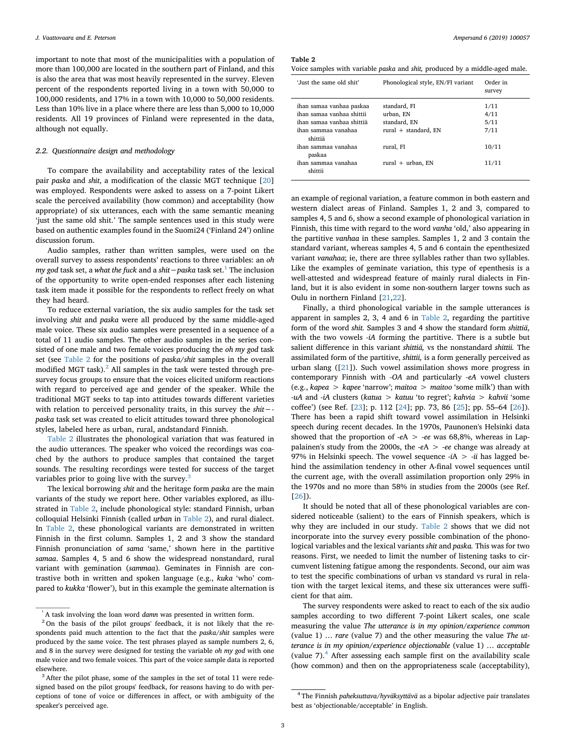important to note that most of the municipalities with a population of more than 100,000 are located in the southern part of Finland, and this is also the area that was most heavily represented in the survey. Eleven percent of the respondents reported living in a town with 50,000 to 100,000 residents, and 17% in a town with 10,000 to 50,000 residents. Less than 10% live in a place where there are less than 5,000 to 10,000 residents. All 19 provinces of Finland were represented in the data, although not equally.

## <span id="page-2-0"></span>*2.2. Questionnaire design and methodology*

To compare the availability and acceptability rates of the lexical pair *paska* and *shit*, a modification of the classic MGT technique [\[20](#page-8-15)] was employed. Respondents were asked to assess on a 7-point Likert scale the perceived availability (how common) and acceptability (how appropriate) of six utterances, each with the same semantic meaning 'just the same old shit.' The sample sentences used in this study were based on authentic examples found in the Suomi24 ('Finland 24') online discussion forum.

Audio samples, rather than written samples, were used on the overall survey to assess respondents' reactions to three variables: an *oh my god* task set, a *what the fuck* and a *shit*−*paska* task set.<sup>[1](#page-2-1)</sup> The inclusion of the opportunity to write open-ended responses after each listening task item made it possible for the respondents to reflect freely on what they had heard.

To reduce external variation, the six audio samples for the task set involving *shit* and *paska* were all produced by the same middle-aged male voice. These six audio samples were presented in a sequence of a total of 11 audio samples. The other audio samples in the series consisted of one male and two female voices producing the *oh my god* task set (see [Table 2](#page-2-2) for the positions of *paska/shit* samples in the overall modified MGT task).<sup>[2](#page-2-3)</sup> All samples in the task were tested through presurvey focus groups to ensure that the voices elicited uniform reactions with regard to perceived age and gender of the speaker. While the traditional MGT seeks to tap into attitudes towards different varieties with relation to perceived personality traits, in this survey the *shit− paska* task set was created to elicit attitudes toward three phonological styles, labeled here as urban, rural, andstandard Finnish.

[Table 2](#page-2-2) illustrates the phonological variation that was featured in the audio utterances. The speaker who voiced the recordings was coached by the authors to produce samples that contained the target sounds. The resulting recordings were tested for success of the target variables prior to going live with the survey. $3$ 

The lexical borrowing *shit* and the heritage form *paska* are the main variants of the study we report here. Other variables explored, as illustrated in [Table 2,](#page-2-2) include phonological style: standard Finnish, urban colloquial Helsinki Finnish (called *urban* in [Table 2\)](#page-2-2), and rural dialect. In [Table 2](#page-2-2), these phonological variants are demonstrated in written Finnish in the first column. Samples 1, 2 and 3 show the standard Finnish pronunciation of *sama* 'same,' shown here in the partitive *samaa*. Samples 4, 5 and 6 show the widespread nonstandard, rural variant with gemination (*sammaa*). Geminates in Finnish are contrastive both in written and spoken language (e.g., *kuka* 'who' compared to *kukka* 'flower'), but in this example the geminate alternation is

<span id="page-2-2"></span>**Table 2**

|  |  |  | Voice samples with variable <i>paska</i> and <i>shit</i> , produced by a middle-aged male. |
|--|--|--|--------------------------------------------------------------------------------------------|
|--|--|--|--------------------------------------------------------------------------------------------|

| 'Just the same old shit'                                                                                                                    | Phonological style, EN/FI variant                                              | Order in<br>survey                    |
|---------------------------------------------------------------------------------------------------------------------------------------------|--------------------------------------------------------------------------------|---------------------------------------|
| ihan samaa vanhaa paskaa<br>ihan samaa vanhaa shittii<br>ihan samaa vanhaa shittiä<br>ihan sammaa yanahaa<br>shittiä<br>ihan sammaa yanahaa | standard, FI<br>urban, EN<br>standard, EN<br>rural + standard, EN<br>rural, FI | 1/11<br>4/11<br>5/11<br>7/11<br>10/11 |
| paskaa<br>ihan sammaa yanahaa<br>shittii                                                                                                    | rural $+$ urban, EN                                                            | 11/11                                 |

an example of regional variation, a feature common in both eastern and western dialect areas of Finland. Samples 1, 2 and 3, compared to samples 4, 5 and 6, show a second example of phonological variation in Finnish, this time with regard to the word *vanha* 'old,' also appearing in the partitive *vanhaa* in these samples. Samples 1, 2 and 3 contain the standard variant, whereas samples 4, 5 and 6 contain the epenthesized variant *vanahaa*; ie, there are three syllables rather than two syllables. Like the examples of geminate variation, this type of epenthesis is a well-attested and widespread feature of mainly rural dialects in Finland, but it is also evident in some non-southern larger towns such as Oulu in northern Finland [\[21](#page-8-16)[,22](#page-8-17)].

Finally, a third phonological variable in the sample utterances is apparent in samples 2, 3, 4 and 6 in [Table 2,](#page-2-2) regarding the partitive form of the word *shit.* Samples 3 and 4 show the standard form *shittiä*, with the two vowels *-iA* forming the partitive. There is a subtle but salient difference in this variant *shittiä,* vs the nonstandard *shittii.* The assimilated form of the partitive, *shittii,* is a form generally perceived as urban slang ([[21\]](#page-8-16)). Such vowel assimilation shows more progress in contemporary Finnish with *-OA* and particularly *-eA* vowel clusters (e.g., *kapea* > *kapee* 'narrow'; *maitoa* > *maitoo* 'some milk') than with *-uA* and *-iA* clusters (*katua* > *katuu* 'to regret'; *kahvia* > *kahvii* 'some coffee') (see Ref. [[23\]](#page-8-18); p. 112 [\[24](#page-8-19)]; pp. 73, 86 [\[25](#page-8-20)]; pp. 55–64 [\[26](#page-8-21)]). There has been a rapid shift toward vowel assimilation in Helsinki speech during recent decades. In the 1970s, Paunonen's Helsinki data showed that the proportion of -*e*A > -*ee* was 68,8%, whereas in Lappalainen's study from the 2000s, the -*e*A > -*ee* change was already at 97% in Helsinki speech. The vowel sequence  $-iA > -ii$  has lagged behind the assimilation tendency in other A-final vowel sequences until the current age, with the overall assimilation proportion only 29% in the 1970s and no more than 58% in studies from the 2000s (see Ref. [[26\]](#page-8-21)).

It should be noted that all of these phonological variables are considered noticeable (salient) to the ears of Finnish speakers, which is why they are included in our study. [Table 2](#page-2-2) shows that we did not incorporate into the survey every possible combination of the phonological variables and the lexical variants *shit* and *paska.* This was for two reasons. First, we needed to limit the number of listening tasks to circumvent listening fatigue among the respondents. Second, our aim was to test the specific combinations of urban vs standard vs rural in relation with the target lexical items, and these six utterances were sufficient for that aim.

The survey respondents were asked to react to each of the six audio samples according to two different 7-point Likert scales, one scale measuring the value *The utterance is in my opinion/experience common* (value 1) … *rare* (value 7) and the other measuring the value *The utterance is in my opinion/experience objectionable* (value 1) … *acceptable* (value  $7$ ).<sup>[4](#page-2-5)</sup> After assessing each sample first on the availability scale (how common) and then on the appropriateness scale (acceptability),

<span id="page-2-1"></span><sup>&</sup>lt;sup>1</sup>A task involving the loan word *damn* was presented in written form.

<span id="page-2-3"></span><sup>&</sup>lt;sup>2</sup> On the basis of the pilot groups' feedback, it is not likely that the respondents paid much attention to the fact that the *paska/shit* samples were produced by the same voice. The test phrases played as sample numbers 2, 6, and 8 in the survey were designed for testing the variable *oh my god* with one male voice and two female voices. This part of the voice sample data is reported elsewhere.

<span id="page-2-4"></span><sup>&</sup>lt;sup>3</sup> After the pilot phase, some of the samples in the set of total 11 were redesigned based on the pilot groups' feedback, for reasons having to do with perceptions of tone of voice or differences in affect, or with ambiguity of the speaker's perceived age.

<span id="page-2-5"></span><sup>4</sup> The Finnish *paheksuttava/hyväksyttävä* as a bipolar adjective pair translates best as 'objectionable/acceptable' in English.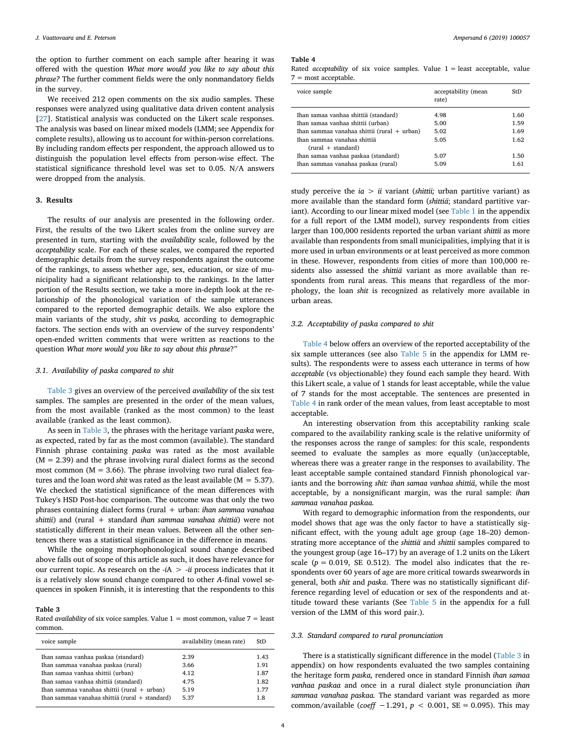the option to further comment on each sample after hearing it was offered with the question *What more would you like to say about this phrase?* The further comment fields were the only nonmandatory fields in the survey.

We received 212 open comments on the six audio samples. These responses were analyzed using qualitative data driven content analysis [[27\]](#page-8-22). Statistical analysis was conducted on the Likert scale responses. The analysis was based on linear mixed models (LMM; see Appendix for complete results), allowing us to account for within-person correlations. By including random effects per respondent, the approach allowed us to distinguish the population level effects from person-wise effect. The statistical significance threshold level was set to 0.05. N/A answers were dropped from the analysis.

#### **3. Results**

The results of our analysis are presented in the following order. First, the results of the two Likert scales from the online survey are presented in turn, starting with the *availability* scale, followed by the *acceptability* scale. For each of these scales, we compared the reported demographic details from the survey respondents against the outcome of the rankings, to assess whether age, sex, education, or size of municipality had a significant relationship to the rankings. In the latter portion of the Results section, we take a more in-depth look at the relationship of the phonological variation of the sample utterances compared to the reported demographic details. We also explore the main variants of the study, *shit* vs *paska,* according to demographic factors. The section ends with an overview of the survey respondents' open-ended written comments that were written as reactions to the question *What more would you like to say about this phrase*?"

#### *3.1. Availability of paska compared to shit*

[Table 3](#page-3-0) gives an overview of the perceived *availability* of the six test samples. The samples are presented in the order of the mean values, from the most available (ranked as the most common) to the least available (ranked as the least common).

As seen in [Table 3](#page-3-0), the phrases with the heritage variant *paska* were, as expected, rated by far as the most common (available). The standard Finnish phrase containing *paska* was rated as the most available  $(M = 2.39)$  and the phrase involving rural dialect forms as the second most common ( $M = 3.66$ ). The phrase involving two rural dialect features and the loan word *shit* was rated as the least available ( $M = 5.37$ ). We checked the statistical significance of the mean differences with Tukey's HSD Post-hoc comparison. The outcome was that only the two phrases containing dialect forms (rural + urban: *ihan sammaa vanahaa shittii*) and (rural + standard *ihan sammaa vanahaa shittiä*) were not statistically different in their mean values. Between all the other sentences there was a statistical significance in the difference in means.

While the ongoing morphophonological sound change described above falls out of scope of this article as such, it does have relevance for our current topic. As research on the -*i*A > -*ii* process indicates that it is a relatively slow sound change compared to other *A*-final vowel sequences in spoken Finnish, it is interesting that the respondents to this

#### <span id="page-3-0"></span>**Table 3**

Rated *availability* of six voice samples. Value  $1 =$  most common, value  $7 =$  least common.

| availability (mean rate) | StD  |
|--------------------------|------|
| 2.39                     | 1.43 |
| 3.66                     | 1.91 |
| 4.12                     | 1.87 |
| 4.75                     | 1.82 |
| 5.19                     | 1.77 |
| 5.37                     | 1.8  |
|                          |      |

### <span id="page-3-1"></span>**Table 4**

Rated *acceptability* of six voice samples. Value  $1 =$  least acceptable, value 7 = most acceptable.

| voice sample                                  | acceptability (mean<br>rate) | StD  |
|-----------------------------------------------|------------------------------|------|
| Ihan samaa vanhaa shittiä (standard)          | 4.98                         | 1.60 |
| Ihan samaa vanhaa shittii (urban)             | 5.00                         | 1.59 |
| Ihan sammaa vanahaa shittii (rural $+$ urban) | 5.02                         | 1.69 |
| Ihan sammaa vanahaa shittiä                   | 5.05                         | 1.62 |
| $(rural + standard)$                          |                              |      |
| Ihan samaa vanhaa paskaa (standard)           | 5.07                         | 1.50 |
| Ihan sammaa vanahaa paskaa (rural)            | 5.09                         | 1.61 |
|                                               |                              |      |

study perceive the *ia* > *ii* variant (*shittii;* urban partitive variant) as more available than the standard form (*shittiä*; standard partitive variant). According to our linear mixed model (see [Table 1](#page-1-0) in the appendix for a full report of the LMM model), survey respondents from cities larger than 100,000 residents reported the urban variant *shittii* as more available than respondents from small municipalities, implying that it is more used in urban environments or at least perceived as more common in these. However, respondents from cities of more than 100,000 residents also assessed the *shittiä* variant as more available than respondents from rural areas. This means that regardless of the morphology, the loan *shit* is recognized as relatively more available in urban areas.

## *3.2. Acceptability of paska compared to shit*

[Table 4](#page-3-1) below offers an overview of the reported acceptability of the six sample utterances (see also [Table 5](#page-8-23) in the appendix for LMM results). The respondents were to assess each utterance in terms of how *acceptable* (vs objectionable) they found each sample they heard. With this Likert scale, a value of 1 stands for least acceptable, while the value of 7 stands for the most acceptable. The sentences are presented in [Table 4](#page-3-1) in rank order of the mean values, from least acceptable to most acceptable.

An interesting observation from this acceptability ranking scale compared to the availability ranking scale is the relative uniformity of the responses across the range of samples: for this scale, respondents seemed to evaluate the samples as more equally (un)acceptable, whereas there was a greater range in the responses to availability. The least acceptable sample contained standard Finnish phonological variants and the borrowing *shit: ihan samaa vanhaa shittiä*, while the most acceptable, by a nonsignificant margin, was the rural sample: *ihan sammaa vanahaa paskaa.*

With regard to demographic information from the respondents, our model shows that age was the only factor to have a statistically significant effect, with the young adult age group (age 18–20) demonstrating more acceptance of the *shittiä* and *shittii* samples compared to the youngest group (age 16–17) by an average of 1.2 units on the Likert scale  $(p = 0.019, \text{ SE } 0.512)$ . The model also indicates that the respondents over 60 years of age are more critical towards swearwords in general, both *shit* and *paska*. There was no statistically significant difference regarding level of education or sex of the respondents and attitude toward these variants (See [Table 5](#page-8-23) in the appendix for a full version of the LMM of this word pair.).

### *3.3. Standard compared to rural pronunciation*

There is a statistically significant difference in the model ([Table 3](#page-3-0) in appendix) on how respondents evaluated the two samples containing the heritage form *paska,* rendered once in standard Finnish *ihan samaa vanhaa paskaa* and once in a rural dialect style pronunciation *ihan sammaa vanahaa paskaa.* The standard variant was regarded as more common/available (*coeff* −1.291, *p* < 0.001, SE = 0.095). This may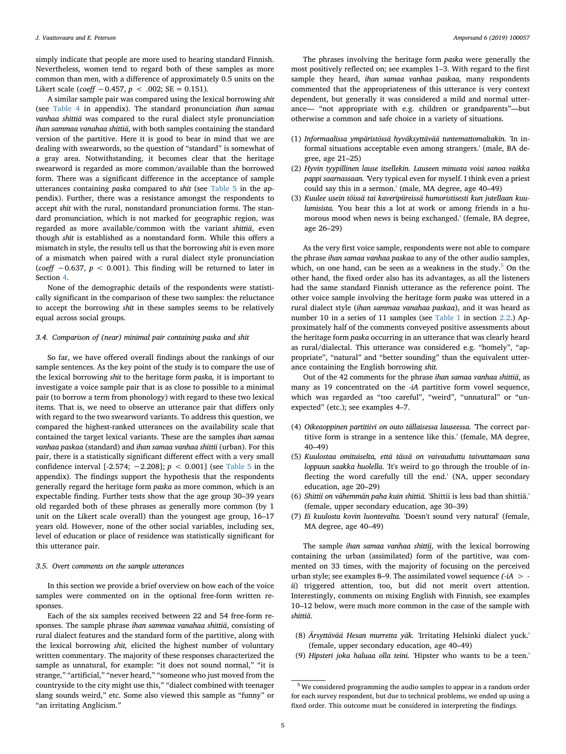simply indicate that people are more used to hearing standard Finnish. Nevertheless, women tend to regard both of these samples as more common than men, with a difference of approximately 0.5 units on the Likert scale (*coeff* −0.457,  $p$  < .002; SE = 0.151).

A similar sample pair was compared using the lexical borrowing *shit* (see [Table 4](#page-3-1) in appendix). The standard pronunciation *ihan samaa vanhaa shittiä* was compared to the rural dialect style pronunciation *ihan sammaa vanahaa shittiä*, with both samples containing the standard version of the partitive. Here it is good to bear in mind that we are dealing with swearwords, so the question of "standard" is somewhat of a gray area. Notwithstanding, it becomes clear that the heritage swearword is regarded as more common/available than the borrowed form. There was a significant difference in the acceptance of sample utterances containing *paska* compared to *shit* (see [Table 5](#page-8-23) in the appendix). Further, there was a resistance amongst the respondents to accept *shit* with the rural, nonstandard pronunciation forms. The standard pronunciation, which is not marked for geographic region, was regarded as more available/common with the variant *shittiä*, even though *shit* is established as a nonstandard form. While this offers a mismatch in style, the results tell us that the borrowing *shit* is even more of a mismatch when paired with a rural dialect style pronunciation (*coeff* −0.637, *p* < 0.001). This finding will be returned to later in Section [4.](#page-5-0)

None of the demographic details of the respondents were statistically significant in the comparison of these two samples: the reluctance to accept the borrowing *shit* in these samples seems to be relatively equal across social groups.

## *3.4. Comparison of (near) minimal pair containing paska and shit*

So far, we have offered overall findings about the rankings of our sample sentences. As the key point of the study is to compare the use of the lexical borrowing *shit* to the heritage form *paska,* it is important to investigate a voice sample pair that is as close to possible to a minimal pair (to borrow a term from phonology) with regard to these two lexical items. That is, we need to observe an utterance pair that differs only with regard to the two swearword variants. To address this question, we compared the highest-ranked utterances on the availability scale that contained the target lexical variants. These are the samples *ihan samaa vanhaa paskaa* (standard) and *ihan samaa vanhaa shittii* (urban). For this pair, there is a statistically significant different effect with a very small confidence interval [-2.574;  $-2.208$ ];  $p < 0.001$ ] (see [Table 5](#page-8-23) in the appendix). The findings support the hypothesis that the respondents generally regard the heritage form *paska* as more common, which is an expectable finding. Further tests show that the age group 30–39 years old regarded both of these phrases as generally more common (by 1 unit on the Likert scale overall) than the youngest age group, 16–17 years old. However, none of the other social variables, including sex, level of education or place of residence was statistically significant for this utterance pair.

## *3.5. Overt comments on the sample utterances*

In this section we provide a brief overview on how each of the voice samples were commented on in the optional free-form written responses.

Each of the six samples received between 22 and 54 free-form responses. The sample phrase *ihan sammaa vanahaa shittiä*, consisting of rural dialect features and the standard form of the partitive, along with the lexical borrowing *shit,* elicited the highest number of voluntary written commentary. The majority of these responses characterized the sample as unnatural, for example: "it does not sound normal," "it is strange," "artificial," "never heard," "someone who just moved from the countryside to the city might use this," "dialect combined with teenager slang sounds weird," etc. Some also viewed this sample as "funny" or "an irritating Anglicism."

The phrases involving the heritage form *paska* were generally the most positively reflected on; see examples 1–3. With regard to the first sample they heard, *ihan samaa vanhaa paskaa,* many respondents commented that the appropriateness of this utterance is very context dependent, but generally it was considered a mild and normal utterance— "not appropriate with e.g. children or grandparents"—but otherwise a common and safe choice in a variety of situations.

- (1) *Informaalissa ympäristössä hyväksyttävää tuntemattomaltakin.* 'In informal situations acceptable even among strangers.' (male, BA degree, age 21–25)
- (2) *Hyvin tyypillinen lause itsellekin. Lauseen minusta voisi sanoa vaikka pappi saarnassaan. '*Very typical even for myself. I think even a priest could say this in a sermon.' (male, MA degree, age 40–49)
- (3) *Kuulee usein töissä tai kaveripiireissä humoristisesti kun jutellaan kuulumisista. '*You hear this a lot at work or among friends in a humorous mood when news is being exchanged.' (female, BA degree, age 26–29)

As the very first voice sample, respondents were not able to compare the phrase *ihan samaa vanhaa paskaa* to any of the other audio samples, which, on one hand, can be seen as a weakness in the study. $5$  On the other hand, the fixed order also has its advantages, as all the listeners had the same standard Finnish utterance as the reference point. The other voice sample involving the heritage form *paska* was uttered in a rural dialect style (*ihan sammaa vanahaa paskaa*), and it was heard as number 10 in a series of 11 samples (see [Table 1](#page-1-0) in section [2.2](#page-2-0).) Approximately half of the comments conveyed positive assessments about the heritage form *paska* occurring in an utterance that was clearly heard as rural/dialectal. This utterance was considered e.g. "homely", "appropriate", "natural" and "better sounding" than the equivalent utterance containing the English borrowing *shit.*

Out of the 42 comments for the phrase *ihan samaa vanhaa shittiä*, as many as 19 concentrated on the *-iA* partitive form vowel sequence, which was regarded as "too careful", "weird", "unnatural" or "unexpected" (etc.); see examples 4–7.

- (4) *Oikeaoppinen partitiivi on outo tällaisessa lauseessa. '*The correct partitive form is strange in a sentence like this.' (female, MA degree, 40–49)
- (5) *Kuulostaa omituiselta, että tässä on vaivauduttu taivuttamaan sana loppuun saakka huolella*. 'It's weird to go through the trouble of inflecting the word carefully till the end.' (NA, upper secondary education, age 20–29)
- (6) *Shittii on vähemmän paha kuin shittiä.* 'Shittii is less bad than shittiä.' (female, upper secondary education, age 30–39)
- (7) *Ei kuulosta kovin luontevalta.* 'Doesn't sound very natural' (female, MA degree, age 40–49)

The sample *ihan samaa vanhaa shittii*, with the lexical borrowing containing the urban (assimilated) form of the partitive, was commented on 33 times, with the majority of focusing on the perceived urban style; see examples 8–9. The assimilated vowel sequence *(-iA* >  *ii*) triggered attention, too, but did not merit overt attention. Interestingly, comments on mixing English with Finnish, see examples 10–12 below, were much more common in the case of the sample with *shittiä*.

- (8) *Ärsyttävää Hesan murretta yäk.* 'Irritating Helsinki dialect yuck.' (female, upper secondary education, age 40–49)
- (9) *Hipsteri joka haluaa olla teini.* 'Hipster who wants to be a teen.'

<span id="page-4-0"></span> $^{\rm 5}$  We considered programming the audio samples to appear in a random order for each survey respondent, but due to technical problems, we ended up using a fixed order. This outcome must be considered in interpreting the findings.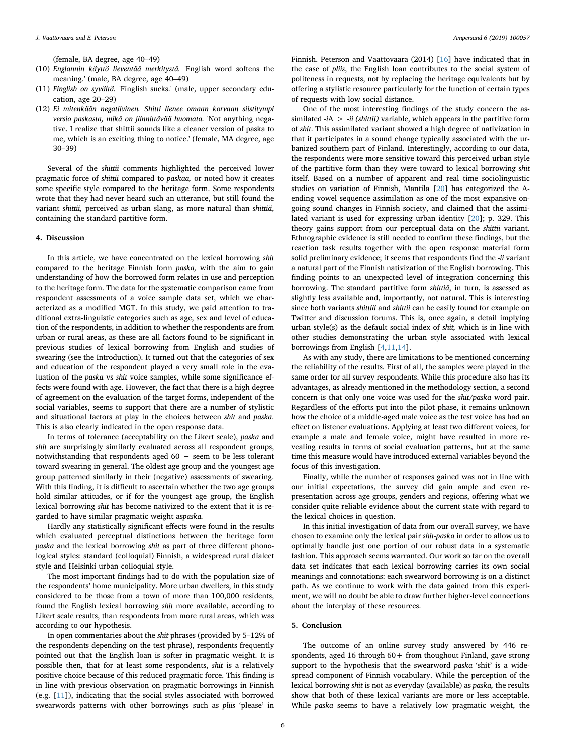(female, BA degree, age 40–49)

- (10) *Englannin käyttö lieventää merkitystä.* 'English word softens the meaning.' (male, BA degree, age 40–49)
- (11) *Finglish on syvältä.* 'Finglish sucks.' (male, upper secondary education, age 20–29)
- (12) *Ei mitenkään negatiivinen. Shitti lienee omaan korvaan siistitympi versio paskasta, mikä on jännittävää huomata.* 'Not anything negative. I realize that shittii sounds like a cleaner version of paska to me, which is an exciting thing to notice.' (female, MA degree, age 30–39)

Several of the *shittii* comments highlighted the perceived lower pragmatic force of *shittii* compared to *paskaa,* or noted how it creates some specific style compared to the heritage form. Some respondents wrote that they had never heard such an utterance, but still found the variant *shittii,* perceived as urban slang, as more natural than *shittiä*, containing the standard partitive form.

#### <span id="page-5-0"></span>**4. Discussion**

In this article, we have concentrated on the lexical borrowing *shit* compared to the heritage Finnish form *paska,* with the aim to gain understanding of how the borrowed form relates in use and perception to the heritage form. The data for the systematic comparison came from respondent assessments of a voice sample data set, which we characterized as a modified MGT. In this study, we paid attention to traditional extra-linguistic categories such as age, sex and level of education of the respondents, in addition to whether the respondents are from urban or rural areas, as these are all factors found to be significant in previous studies of lexical borrowing from English and studies of swearing (see the Introduction). It turned out that the categories of sex and education of the respondent played a very small role in the evaluation of the *paska* vs *shit* voice samples, while some significance effects were found with age. However, the fact that there is a high degree of agreement on the evaluation of the target forms, independent of the social variables, seems to support that there are a number of stylistic and situational factors at play in the choices between *shit* and *paska*. This is also clearly indicated in the open response data.

In terms of tolerance (acceptability on the Likert scale), *paska* and *shit* are surprisingly similarly evaluated across all respondent groups, notwithstanding that respondents aged  $60 +$  seem to be less tolerant toward swearing in general. The oldest age group and the youngest age group patterned similarly in their (negative) assessments of swearing. With this finding, it is difficult to ascertain whether the two age groups hold similar attitudes, or if for the youngest age group, the English lexical borrowing *shit* has become nativized to the extent that it is regarded to have similar pragmatic weight as*paska.*

Hardly any statistically significant effects were found in the results which evaluated perceptual distinctions between the heritage form *paska* and the lexical borrowing *shit* as part of three different phonological styles: standard (colloquial) Finnish, a widespread rural dialect style and Helsinki urban colloquial style.

The most important findings had to do with the population size of the respondents' home municipality. More urban dwellers, in this study considered to be those from a town of more than 100,000 residents, found the English lexical borrowing *shit* more available, according to Likert scale results, than respondents from more rural areas, which was according to our hypothesis.

In open commentaries about the *shit* phrases (provided by 5–12% of the respondents depending on the test phrase), respondents frequently pointed out that the English loan is softer in pragmatic weight. It is possible then, that for at least some respondents, *shit* is a relatively positive choice because of this reduced pragmatic force. This finding is in line with previous observation on pragmatic borrowings in Finnish (e.g. [[11\]](#page-8-6)), indicating that the social styles associated with borrowed swearwords patterns with other borrowings such as *pliis* 'please' in Finnish. Peterson and Vaattovaara (2014) [[16\]](#page-8-11) have indicated that in the case of *pliis*, the English loan contributes to the social system of politeness in requests, not by replacing the heritage equivalents but by offering a stylistic resource particularly for the function of certain types of requests with low social distance.

One of the most interesting findings of the study concern the assimilated -*i*A > -*ii (shittii)* variable, which appears in the partitive form of *shit*. This assimilated variant showed a high degree of nativization in that it participates in a sound change typically associated with the urbanized southern part of Finland. Interestingly, according to our data, the respondents were more sensitive toward this perceived urban style of the partitive form than they were toward to lexical borrowing *shit* itself. Based on a number of apparent and real time sociolinguistic studies on variation of Finnish, Mantila [\[20](#page-8-15)] has categorized the Aending vowel sequence assimilation as one of the most expansive ongoing sound changes in Finnish society, and claimed that the assimilated variant is used for expressing urban identity [[20\]](#page-8-15); p. 329. This theory gains support from our perceptual data on the *shittii* variant. Ethnographic evidence is still needed to confirm these findings, but the reaction task results together with the open response material form solid preliminary evidence; it seems that respondents find the -*ii* variant a natural part of the Finnish nativization of the English borrowing. This finding points to an unexpected level of integration concerning this borrowing. The standard partitive form *shittiä*, in turn, is assessed as slightly less available and, importantly, not natural. This is interesting since both variants *shittiä* and *shittii* can be easily found for example on Twitter and discussion forums. This is, once again, a detail implying urban style(s) as the default social index of *shit,* which is in line with other studies demonstrating the urban style associated with lexical borrowings from English [[4](#page-8-2)[,11](#page-8-6)[,14](#page-8-9)].

As with any study, there are limitations to be mentioned concerning the reliability of the results. First of all, the samples were played in the same order for all survey respondents. While this procedure also has its advantages, as already mentioned in the methodology section, a second concern is that only one voice was used for the *shit/paska* word pair. Regardless of the efforts put into the pilot phase, it remains unknown how the choice of a middle-aged male voice as the test voice has had an effect on listener evaluations. Applying at least two different voices, for example a male and female voice, might have resulted in more revealing results in terms of social evaluation patterns, but at the same time this measure would have introduced external variables beyond the focus of this investigation.

Finally, while the number of responses gained was not in line with our initial expectations, the survey did gain ample and even representation across age groups, genders and regions, offering what we consider quite reliable evidence about the current state with regard to the lexical choices in question.

In this initial investigation of data from our overall survey, we have chosen to examine only the lexical pair *shit-paska* in order to allow us to optimally handle just one portion of our robust data in a systematic fashion. This approach seems warranted. Our work so far on the overall data set indicates that each lexical borrowing carries its own social meanings and connotations: each swearword borrowing is on a distinct path. As we continue to work with the data gained from this experiment, we will no doubt be able to draw further higher-level connections about the interplay of these resources.

## **5. Conclusion**

The outcome of an online survey study answered by 446 respondents, aged 16 through  $60+$  from thoughout Finland, gave strong support to the hypothesis that the swearword *paska* 'shit' is a widespread component of Finnish vocabulary. While the perception of the lexical borrowing *shit* is not as everyday (available) as *paska,* the results show that both of these lexical variants are more or less acceptable. While *paska* seems to have a relatively low pragmatic weight, the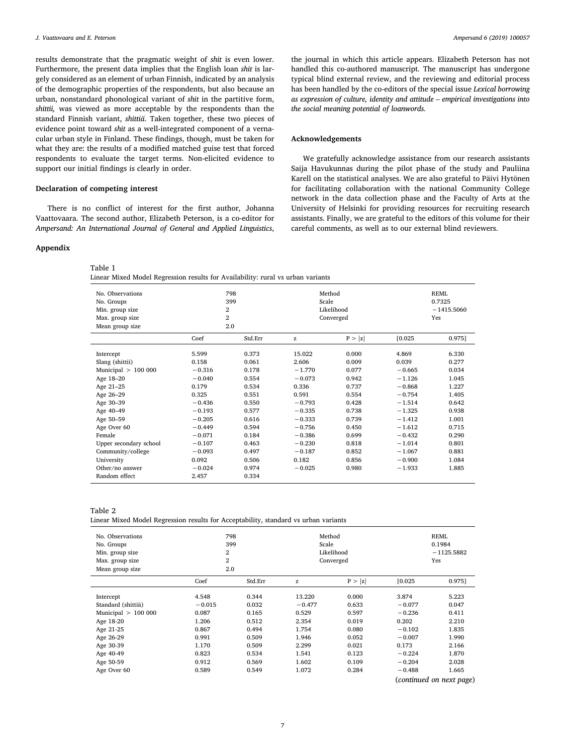results demonstrate that the pragmatic weight of *shit* is even lower. Furthermore, the present data implies that the English loan *shit* is largely considered as an element of urban Finnish, indicated by an analysis of the demographic properties of the respondents, but also because an urban, nonstandard phonological variant of *shit* in the partitive form, *shittii,* was viewed as more acceptable by the respondents than the standard Finnish variant, *shittiä*. Taken together, these two pieces of evidence point toward *shit* as a well-integrated component of a vernacular urban style in Finland. These findings, though, must be taken for what they are: the results of a modified matched guise test that forced respondents to evaluate the target terms. Non-elicited evidence to support our initial findings is clearly in order.

## **Declaration of competing interest**

There is no conflict of interest for the first author, Johanna Vaattovaara. The second author, Elizabeth Peterson, is a co-editor for *Ampersand: An International Journal of General and Applied Linguistics*,

### **Appendix**

#### Table 1

| Linear Mixed Model Regression results for Availability: rural vs urban variants |  |
|---------------------------------------------------------------------------------|--|
|---------------------------------------------------------------------------------|--|

| No. Observations<br>No. Groups<br>Min. group size<br>Max. group size<br>Mean group size                                                                                                                                                                       | 2<br>$\overline{2}$                                                                                                                                                        | 798<br>399<br>2.0                                                                                                                            | Method<br>Scale                                                                                                                                                    | Likelihood<br>Converged                                                                                                             |                                                                                                                                                                            | <b>REML</b><br>0.7325<br>$-1415.5060$<br>Yes                                                                                        |
|---------------------------------------------------------------------------------------------------------------------------------------------------------------------------------------------------------------------------------------------------------------|----------------------------------------------------------------------------------------------------------------------------------------------------------------------------|----------------------------------------------------------------------------------------------------------------------------------------------|--------------------------------------------------------------------------------------------------------------------------------------------------------------------|-------------------------------------------------------------------------------------------------------------------------------------|----------------------------------------------------------------------------------------------------------------------------------------------------------------------------|-------------------------------------------------------------------------------------------------------------------------------------|
|                                                                                                                                                                                                                                                               | Coef                                                                                                                                                                       | Std.Err                                                                                                                                      | z                                                                                                                                                                  | P >  z                                                                                                                              | [0.025]                                                                                                                                                                    | 0.975]                                                                                                                              |
| Intercept<br>Slang (shittii)<br>Municipal $> 100 000$<br>Age 18-20<br>Age 21-25<br>Age 26-29<br>Age 30-39<br>Age 40-49<br>Age 50-59<br>Age Over 60<br>Female<br>Upper secondary school<br>Community/college<br>University<br>Other/no answer<br>Random effect | 5.599<br>0.158<br>$-0.316$<br>$-0.040$<br>0.179<br>0.325<br>$-0.436$<br>$-0.193$<br>$-0.205$<br>$-0.449$<br>$-0.071$<br>$-0.107$<br>$-0.093$<br>0.092<br>$-0.024$<br>2.457 | 0.373<br>0.061<br>0.178<br>0.554<br>0.534<br>0.551<br>0.550<br>0.577<br>0.616<br>0.594<br>0.184<br>0.463<br>0.497<br>0.506<br>0.974<br>0.334 | 15.022<br>2.606<br>$-1.770$<br>$-0.073$<br>0.336<br>0.591<br>$-0.793$<br>$-0.335$<br>$-0.333$<br>$-0.756$<br>$-0.386$<br>$-0.230$<br>$-0.187$<br>0.182<br>$-0.025$ | 0.000<br>0.009<br>0.077<br>0.942<br>0.737<br>0.554<br>0.428<br>0.738<br>0.739<br>0.450<br>0.699<br>0.818<br>0.852<br>0.856<br>0.980 | 4.869<br>0.039<br>$-0.665$<br>$-1.126$<br>$-0.868$<br>$-0.754$<br>$-1.514$<br>$-1.325$<br>$-1.412$<br>$-1.612$<br>$-0.432$<br>$-1.014$<br>$-1.067$<br>$-0.900$<br>$-1.933$ | 6.330<br>0.277<br>0.034<br>1.045<br>1.227<br>1.405<br>0.642<br>0.938<br>1.001<br>0.715<br>0.290<br>0.801<br>0.881<br>1.084<br>1.885 |

## Table 2

Linear Mixed Model Regression results for Acceptability, standard vs urban variants

| No. Observations<br>No. Groups<br>Min. group size<br>Max. group size<br>Mean group size | 399<br>$\overline{2}$<br>$\overline{2}$<br>2.0 | 798     | Method<br>Scale | Likelihood<br>Converged |          | <b>REML</b><br>0.1984<br>$-1125.5882$<br>Yes |
|-----------------------------------------------------------------------------------------|------------------------------------------------|---------|-----------------|-------------------------|----------|----------------------------------------------|
|                                                                                         | Coef                                           | Std.Err | z               | P >  z                  | [0.025]  | 0.975]                                       |
| Intercept                                                                               | 4.548                                          | 0.344   | 13.220          | 0.000                   | 3.874    | 5.223                                        |
| Standard (shittiä)                                                                      | $-0.015$                                       | 0.032   | $-0.477$        | 0.633                   | $-0.077$ | 0.047                                        |
| Municipal $> 100000$                                                                    | 0.087                                          | 0.165   | 0.529           | 0.597                   | $-0.236$ | 0.411                                        |
| Age 18-20                                                                               | 1.206                                          | 0.512   | 2.354           | 0.019                   | 0.202    | 2.210                                        |
| Age 21-25                                                                               | 0.867                                          | 0.494   | 1.754           | 0.080                   | $-0.102$ | 1.835                                        |
| Age 26-29                                                                               | 0.991                                          | 0.509   | 1.946           | 0.052                   | $-0.007$ | 1.990                                        |
| Age 30-39                                                                               | 1.170                                          | 0.509   | 2.299           | 0.021                   | 0.173    | 2.166                                        |
| Age 40-49                                                                               | 0.823                                          | 0.534   | 1.541           | 0.123                   | $-0.224$ | 1.870                                        |
| Age 50-59                                                                               | 0.912                                          | 0.569   | 1.602           | 0.109                   | $-0.204$ | 2.028                                        |
| Age Over 60                                                                             | 0.589                                          | 0.549   | 1.072           | 0.284                   | $-0.488$ | 1.665                                        |

(*continued on next page*)

the journal in which this article appears. Elizabeth Peterson has not handled this co-authored manuscript. The manuscript has undergone typical blind external review, and the reviewing and editorial process has been handled by the co-editors of the special issue *Lexical borrowing as expression of culture, identity and attitude – empirical investigations into the social meaning potential of loanwords.*

## **Acknowledgements**

We gratefully acknowledge assistance from our research assistants Saija Havukunnas during the pilot phase of the study and Pauliina Karell on the statistical analyses. We are also grateful to Päivi Hytönen for facilitating collaboration with the national Community College network in the data collection phase and the Faculty of Arts at the University of Helsinki for providing resources for recruiting research assistants. Finally, we are grateful to the editors of this volume for their careful comments, as well as to our external blind reviewers.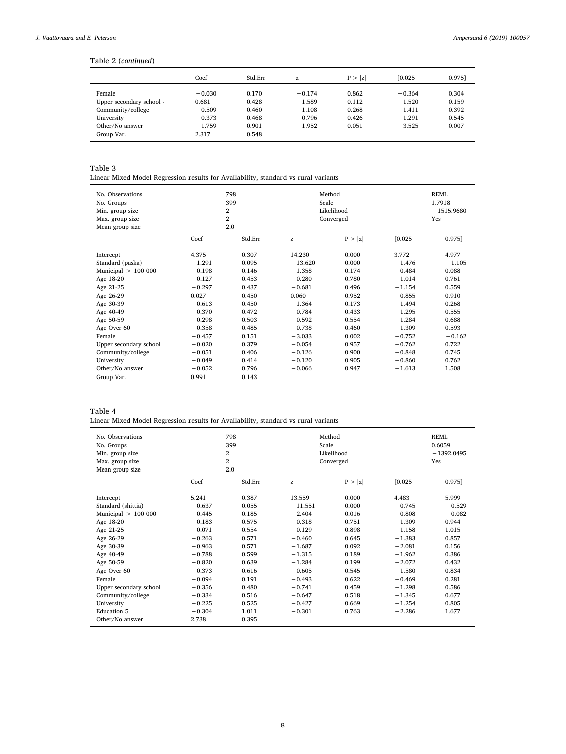## Table 2 (*continued*)

|                          | Coef     | Std.Err | z        | P >  z | [0.025]  | 0.9751 |
|--------------------------|----------|---------|----------|--------|----------|--------|
| Female                   | $-0.030$ | 0.170   | $-0.174$ | 0.862  | $-0.364$ | 0.304  |
| Upper secondary school - | 0.681    | 0.428   | $-1.589$ | 0.112  | $-1.520$ | 0.159  |
| Community/college        | $-0.509$ | 0.460   | $-1.108$ | 0.268  | $-1.411$ | 0.392  |
| University               | $-0.373$ | 0.468   | $-0.796$ | 0.426  | $-1.291$ | 0.545  |
| Other/No answer          | $-1.759$ | 0.901   | $-1.952$ | 0.051  | $-3.525$ | 0.007  |
| Group Var.               | 2.317    | 0.548   |          |        |          |        |

## Table 3

Linear Mixed Model Regression results for Availability, standard vs rural variants

| No. Observations       |          | 798            |           | Method     |          | <b>REML</b>  |  |
|------------------------|----------|----------------|-----------|------------|----------|--------------|--|
| No. Groups             |          | 399            | Scale     |            |          | 1.7918       |  |
| Min. group size        |          | $\overline{2}$ |           | Likelihood |          | $-1515.9680$ |  |
| Max. group size        |          | $\overline{2}$ |           | Converged  |          | Yes          |  |
| Mean group size        |          | $2.0\,$        |           |            |          |              |  |
|                        | Coef     | Std.Err        | z         | P >  z     | [0.025]  | 0.975]       |  |
| Intercept              | 4.375    | 0.307          | 14.230    | 0.000      | 3.772    | 4.977        |  |
| Standard (paska)       | $-1.291$ | 0.095          | $-13.620$ | 0.000      | $-1.476$ | $-1.105$     |  |
| Municipal $> 100 000$  | $-0.198$ | 0.146          | $-1.358$  | 0.174      | $-0.484$ | 0.088        |  |
| Age 18-20              | $-0.127$ | 0.453          | $-0.280$  | 0.780      | $-1.014$ | 0.761        |  |
| Age 21-25              | $-0.297$ | 0.437          | $-0.681$  | 0.496      | $-1.154$ | 0.559        |  |
| Age 26-29              | 0.027    | 0.450          | 0.060     | 0.952      | $-0.855$ | 0.910        |  |
| Age 30-39              | $-0.613$ | 0.450          | $-1.364$  | 0.173      | $-1.494$ | 0.268        |  |
| Age 40-49              | $-0.370$ | 0.472          | $-0.784$  | 0.433      | $-1.295$ | 0.555        |  |
| Age 50-59              | $-0.298$ | 0.503          | $-0.592$  | 0.554      | $-1.284$ | 0.688        |  |
| Age Over 60            | $-0.358$ | 0.485          | $-0.738$  | 0.460      | $-1.309$ | 0.593        |  |
| Female                 | $-0.457$ | 0.151          | $-3.033$  | 0.002      | $-0.752$ | $-0.162$     |  |
| Upper secondary school | $-0.020$ | 0.379          | $-0.054$  | 0.957      | $-0.762$ | 0.722        |  |
| Community/college      | $-0.051$ | 0.406          | $-0.126$  | 0.900      | $-0.848$ | 0.745        |  |
| University             | $-0.049$ | 0.414          | $-0.120$  | 0.905      | $-0.860$ | 0.762        |  |
| Other/No answer        | $-0.052$ | 0.796          | $-0.066$  | 0.947      | $-1.613$ | 1.508        |  |
| Group Var.             | 0.991    | 0.143          |           |            |          |              |  |

## Table 4

|  | Linear Mixed Model Regression results for Availability, standard vs rural variants |
|--|------------------------------------------------------------------------------------|
|--|------------------------------------------------------------------------------------|

| No. Observations       | 798<br>399<br>2<br>2<br>2.0 |         |           | Method     |                     | REML<br>0.6059 |  |
|------------------------|-----------------------------|---------|-----------|------------|---------------------|----------------|--|
| No. Groups             |                             |         | Scale     |            |                     |                |  |
| Min. group size        |                             |         |           | Likelihood | $-1392.0495$<br>Yes |                |  |
| Max. group size        |                             |         |           | Converged  |                     |                |  |
| Mean group size        |                             |         |           |            |                     |                |  |
|                        | Coef                        | Std.Err | z         | P >  z     | [0.025]             | 0.975]         |  |
| Intercept              | 5.241                       | 0.387   | 13.559    | 0.000      | 4.483               | 5.999          |  |
| Standard (shittiä)     | $-0.637$                    | 0.055   | $-11.551$ | 0.000      | $-0.745$            | $-0.529$       |  |
| Municipal $> 100000$   | $-0.445$                    | 0.185   | $-2.404$  | 0.016      | $-0.808$            | $-0.082$       |  |
| Age 18-20              | $-0.183$                    | 0.575   | $-0.318$  | 0.751      | $-1.309$            | 0.944          |  |
| Age 21-25              | $-0.071$                    | 0.554   | $-0.129$  | 0.898      | $-1.158$            | 1.015          |  |
| Age 26-29              | $-0.263$                    | 0.571   | $-0.460$  | 0.645      | $-1.383$            | 0.857          |  |
| Age 30-39              | $-0.963$                    | 0.571   | $-1.687$  | 0.092      | $-2.081$            | 0.156          |  |
| Age 40-49              | $-0.788$                    | 0.599   | $-1.315$  | 0.189      | $-1.962$            | 0.386          |  |
| Age 50-59              | $-0.820$                    | 0.639   | $-1.284$  | 0.199      | $-2.072$            | 0.432          |  |
| Age Over 60            | $-0.373$                    | 0.616   | $-0.605$  | 0.545      | $-1.580$            | 0.834          |  |
| Female                 | $-0.094$                    | 0.191   | $-0.493$  | 0.622      | $-0.469$            | 0.281          |  |
| Upper secondary school | $-0.356$                    | 0.480   | $-0.741$  | 0.459      | $-1.298$            | 0.586          |  |
| Community/college      | $-0.334$                    | 0.516   | $-0.647$  | 0.518      | $-1.345$            | 0.677          |  |
| University             | $-0.225$                    | 0.525   | $-0.427$  | 0.669      | $-1.254$            | 0.805          |  |
| <b>Education 5</b>     | $-0.304$                    | 1.011   | $-0.301$  | 0.763      | $-2.286$            | 1.677          |  |
| Other/No answer        | 2.738                       | 0.395   |           |            |                     |                |  |